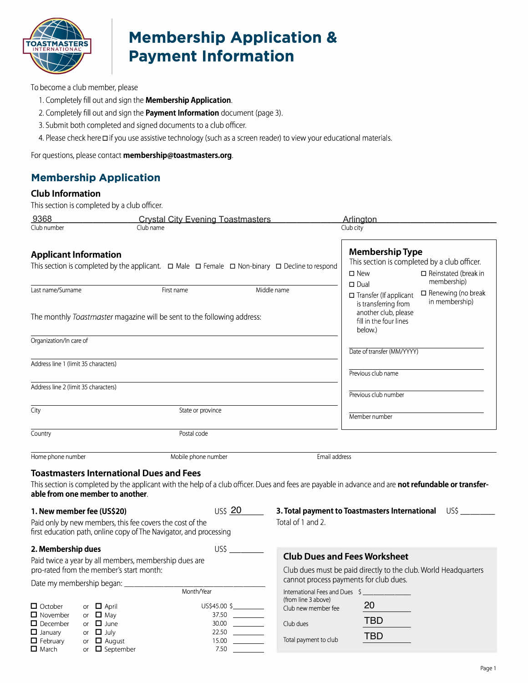

# **Membership Application & Payment Information**

To become a club member, please

- 1. Completely fill out and sign the **Membership Application.**
- 2. Completely fill out and sign the **Payment Information** document (page 3).
- 3. Submit both completed and signed documents to a club officer.
- 4. Please check here □ if you use assistive technology (such as a screen reader) to view your educational materials.

For questions, please contact **membership@toastmasters.org.** 

## **Membership Application**

#### **Club Information**

This section is completed by a club officer.

| <u>9368</u>                                                                                                                                       |                                                                                                                 | <b>Crystal City Evening Toastmasters</b>                                              |                                                                                  | Arlington                                                                                                                                                                                  |
|---------------------------------------------------------------------------------------------------------------------------------------------------|-----------------------------------------------------------------------------------------------------------------|---------------------------------------------------------------------------------------|----------------------------------------------------------------------------------|--------------------------------------------------------------------------------------------------------------------------------------------------------------------------------------------|
| Club number                                                                                                                                       | Club name                                                                                                       |                                                                                       |                                                                                  | Club city                                                                                                                                                                                  |
| <b>Applicant Information</b><br>This section is completed by the applicant. $\Box$ Male $\Box$ Female $\Box$ Non-binary $\Box$ Decline to respond |                                                                                                                 |                                                                                       |                                                                                  | <b>Membership Type</b><br>This section is completed by a club officer.<br>$\square$ New<br>$\Box$ Reinstated (break in                                                                     |
| Last name/Surname                                                                                                                                 |                                                                                                                 | First name<br>The monthly Toastmaster magazine will be sent to the following address: | Middle name                                                                      | membership)<br>$\square$ Dual<br>$\square$ Renewing (no break<br>$\Box$ Transfer (If applicant<br>in membership)<br>is transferring from<br>another club, please<br>fill in the four lines |
|                                                                                                                                                   |                                                                                                                 |                                                                                       |                                                                                  | below.)                                                                                                                                                                                    |
| Organization/In care of<br>Address line 1 (limit 35 characters)                                                                                   |                                                                                                                 |                                                                                       |                                                                                  | Date of transfer (MM/YYYY)<br>Previous club name                                                                                                                                           |
| Address line 2 (limit 35 characters)                                                                                                              |                                                                                                                 |                                                                                       |                                                                                  |                                                                                                                                                                                            |
|                                                                                                                                                   |                                                                                                                 |                                                                                       |                                                                                  | Previous club number                                                                                                                                                                       |
| City                                                                                                                                              |                                                                                                                 | State or province                                                                     |                                                                                  | Member number                                                                                                                                                                              |
| Country                                                                                                                                           |                                                                                                                 | Postal code                                                                           |                                                                                  |                                                                                                                                                                                            |
| Home phone number                                                                                                                                 |                                                                                                                 | Mobile phone number                                                                   | Email address                                                                    |                                                                                                                                                                                            |
|                                                                                                                                                   | <b>Toastmasters International Dues and Fees</b>                                                                 |                                                                                       |                                                                                  |                                                                                                                                                                                            |
|                                                                                                                                                   | able from one member to another.                                                                                |                                                                                       |                                                                                  | This section is completed by the applicant with the help of a club officer. Dues and fees are payable in advance and are not refundable or transfer-                                       |
|                                                                                                                                                   | 1. New member fee (US\$20)<br>Paid only by new members, this fee covers the cost of the                         | US\$ 20<br>first education path, online copy of The Navigator, and processing         | Total of 1 and 2.                                                                | 3. Total payment to Toastmasters International US\$ _____                                                                                                                                  |
| 2. Membership dues                                                                                                                                |                                                                                                                 |                                                                                       | <b>Club Dues and Fees Worksheet</b>                                              |                                                                                                                                                                                            |
| Paid twice a year by all members, membership dues are<br>pro-rated from the member's start month:                                                 |                                                                                                                 |                                                                                       |                                                                                  |                                                                                                                                                                                            |
|                                                                                                                                                   |                                                                                                                 |                                                                                       |                                                                                  | Club dues must be paid directly to the club. World Headquarters<br>cannot process payments for club dues.                                                                                  |
| Date my membership began: __<br>Month/Year                                                                                                        |                                                                                                                 |                                                                                       | International Fees and Dues \$                                                   |                                                                                                                                                                                            |
| $\Box$ October<br>$\Box$ November<br>$\Box$ December<br>$\Box$ January<br>$\Box$ February<br><b>□</b> March                                       | or $\Box$ April<br>or $\Box$ May<br>or $\Box$ June<br>or $\Box$ July<br>or $\Box$ August<br>or $\Box$ September | US\$45.00 \$<br>$30.00$<br>7.50                                                       | (from line 3 above)<br>Club new member fee<br>Club dues<br>Total payment to club | 20<br><b>TBD</b><br><b>TBD</b>                                                                                                                                                             |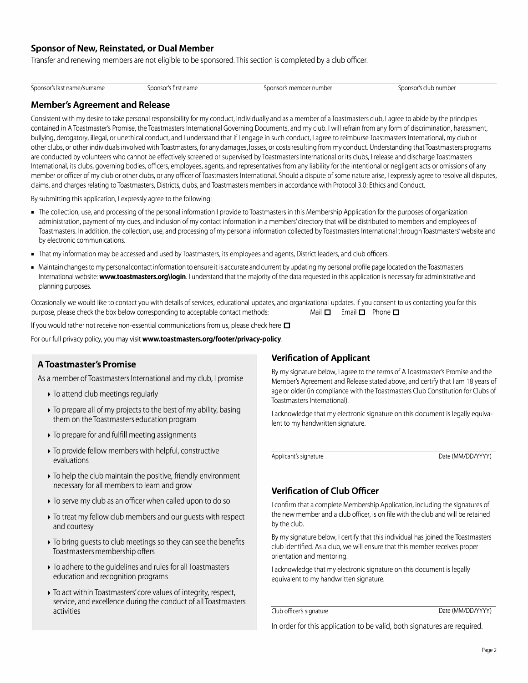#### **Sponsor of New, Reinstated, or Dual Member**

Transfer and renewing members are not eligible to be sponsored. This section is completed by a club officer.

Sponsor's last name/surname Sponsor's first name Sponsor's member number number Sponsor's club number Sponsor's club number

#### **Member's Agreement and Release**

Consistent with my desire to take personal responsibility for my conduct, individually and as a member of a Toastmasters club, I agree to abide by the principles contained in A Toastmaster's Promise, the Toastmasters International Governing Documents, and my club. I will refrain from any form of discrimination, harassment, bullying, derogatory, illegal, or unethical conduct, and I understand that if I engage in such conduct, I agree to reimburse Toastmasters International, my club or other clubs, or other individuals involved with Toastmasters, for any damages, losses, or costs resulting from my conduct. Understanding that Toastmasters programs are conducted by volunteers who cannot be effectively screened or supervised by Toastmasters International or its clubs, I release and discharge Toastmasters International, its clubs, governing bodies, officers, employees, agents, and representatives from any liability for the intentional or negligent acts or omissions of any member or officer of my club or other clubs, or any officer of Toastmasters International. Should a dispute of some nature arise, I expressly agree to resolve all disputes, claims, and charges relating to Toastmasters, Districts, clubs, and Toastmasters members in accordance with Protocol 3.0: Ethics and Conduct.

By submitting this application, I expressly agree to the following:

- The collection, use, and processing of the personal information I provide to Toastmasters in this Membership Application for the purposes of organization administration, payment of my dues, and inclusion of my contact information in a members' directory that will be distributed to members and employees of Toastmasters. In addition, the collection, use, and processing of my personal information collected by Toastmasters International through Toastmasters' website and by electronic communications.
- That my information may be accessed and used by Toastmasters, its employees and agents, District leaders, and club officers.
- Maintain changes to my personal contact information to ensure it is accurate and current by updating my personal profile page located on the Toastmasters International website: **www.toastmasters.org\login.** I understand that the majority of the data requested in this application is necessary for administrative and planning purposes.

Occasionally we would like to contact you with details of services, educational updates, and organizational updates. If you consent to us contacting you for this purpose, please check the box below corresponding to acceptable contact methods: Mail  $\Box$  Email  $\Box$  Phone  $\Box$ 

If you would rather not receive non-essential communications from us, please check here  $\Box$ 

For our full privacy policy, you may visit **www.toastmasters.org/footer/privacy-policy.** 

#### **A Toastmaster's Promise**

As a member of Toastmasters International and my club, I promise

- ► To attend club meetings regularly
- ► To prepare all of my projects to the best of my ability, basing them on the Toastmasters education program
- ► To prepare for and fulfill meeting assignments
- ► To provide fellow members with helpful, constructive evaluations
- ► To help the club maintain the positive, friendly environment necessary for all members to learn and grow
- ► To serve my club as an officer when called upon to do so
- ► To treat my fellow club members and our guests with respect and courtesy
- ► To bring guests to club meetings so they can see the benefits Toastmasters membership offers
- ► To adhere to the guidelines and rules for all Toastmasters education and recognition programs
- ► To act within Toastmasters' core values of integrity, respect, service, and excellence during the conduct of all Toastmasters activities

#### **Verification of Applicant**

By my signature below, I agree to the terms of A Toastmaster's Promise and the Member's Agreement and Release stated above, and certify that I am 18 years of age or older (in compliance with the Toastmasters Club Constitution for Clubs of Toastmasters International).

I acknowledge that my electronic signature on this document is legally equivalent to my handwritten signature.

Applicant's signature and a state (MM/DD/YYYY)

#### **Verification of Club Officer**

I confirm that a complete Membership Application, including the signatures of the new member and a club officer, is on file with the club and will be retained by the club.

By my signature below, I certify that this individual has joined the Toastmasters club identified. As a club, we will ensure that this member receives proper orientation and mentoring.

I acknowledge that my electronic signature on this document is legally equivalent to my handwritten signature.

Club officer's signature Date (MM/DD/YYYY)

In order for this application to be valid, both signatures are required.